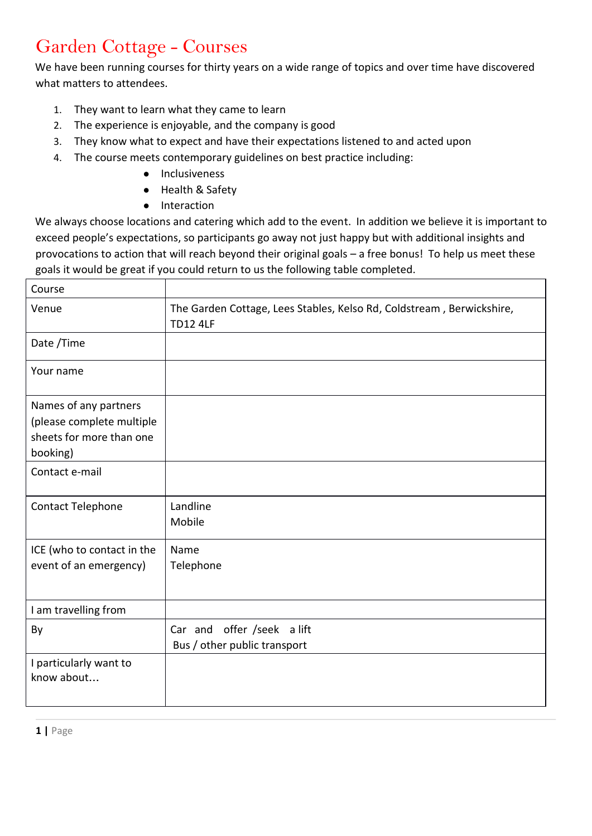## Garden Cottage - Courses

We have been running courses for thirty years on a wide range of topics and over time have discovered what matters to attendees.

- 1. They want to learn what they came to learn
- 2. The experience is enjoyable, and the company is good
- 3. They know what to expect and have their expectations listened to and acted upon
- 4. The course meets contemporary guidelines on best practice including:
	- Inclusiveness
	- Health & Safety
	- Interaction

We always choose locations and catering which add to the event. In addition we believe it is important to exceed people's expectations, so participants go away not just happy but with additional insights and provocations to action that will reach beyond their original goals – a free bonus! To help us meet these goals it would be great if you could return to us the following table completed.

| Course                                                |                                                                                          |
|-------------------------------------------------------|------------------------------------------------------------------------------------------|
| Venue                                                 | The Garden Cottage, Lees Stables, Kelso Rd, Coldstream, Berwickshire,<br><b>TD12 4LF</b> |
| Date /Time                                            |                                                                                          |
| Your name                                             |                                                                                          |
| Names of any partners                                 |                                                                                          |
| (please complete multiple<br>sheets for more than one |                                                                                          |
| booking)                                              |                                                                                          |
| Contact e-mail                                        |                                                                                          |
| Contact Telephone                                     | Landline                                                                                 |
|                                                       | Mobile                                                                                   |
| ICE (who to contact in the                            | Name                                                                                     |
| event of an emergency)                                | Telephone                                                                                |
|                                                       |                                                                                          |
| I am travelling from                                  |                                                                                          |
| By                                                    | Car and offer /seek a lift                                                               |
|                                                       | Bus / other public transport                                                             |
| I particularly want to                                |                                                                                          |
| know about                                            |                                                                                          |